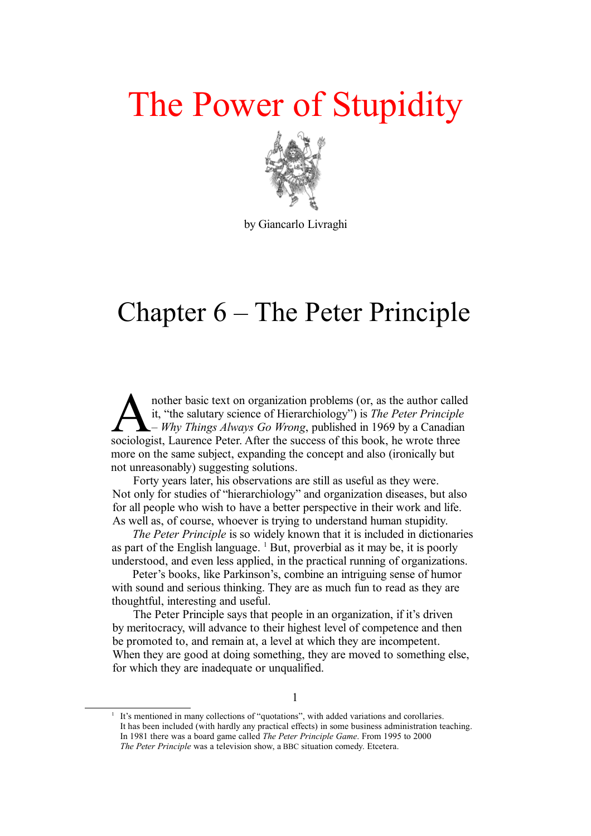## The Power of Stupidity



by Giancarlo Livraghi

## Chapter 6 – The Peter Principle

nother basic text on organization problems (or, as the author called it, "the salutary science of Hierarchiology") is *The Peter Principle – Why Things Always Go Wrong*, published in 1969 by a Canadian nother basic text on organization problems (or, as the author called it, "the salutary science of Hierarchiology") is *The Peter Principle* Why *Things Always Go Wrong*, published in 1969 by a Canadia sociologist, Laurence more on the same subject, expanding the concept and also (ironically but not unreasonably) suggesting solutions.

Forty years later, his observations are still as useful as they were. Not only for studies of "hierarchiology" and organization diseases, but also for all people who wish to have a better perspective in their work and life. As well as, of course, whoever is trying to understand human stupidity.

*The Peter Principle* is so widely known that it is included in dictionaries as part of the English language. [1](#page-0-0) But, proverbial as it may be, it is poorly understood, and even less applied, in the practical running of organizations.

Peter's books, like Parkinson's, combine an intriguing sense of humor with sound and serious thinking. They are as much fun to read as they are thoughtful, interesting and useful.

The Peter Principle says that people in an organization, if it's driven by meritocracy, will advance to their highest level of competence and then be promoted to, and remain at, a level at which they are incompetent. When they are good at doing something, they are moved to something else, for which they are inadequate or unqualified.

<span id="page-0-0"></span><sup>1</sup> It's mentioned in many collections of "quotations", with added variations and corollaries. It has been included (with hardly any practical effects) in some business administration teaching. In 1981 there was a board game called *The Peter Principle Game*. From 1995 to 2000 *The Peter Principle* was a television show, a BBC situation comedy. Etcetera.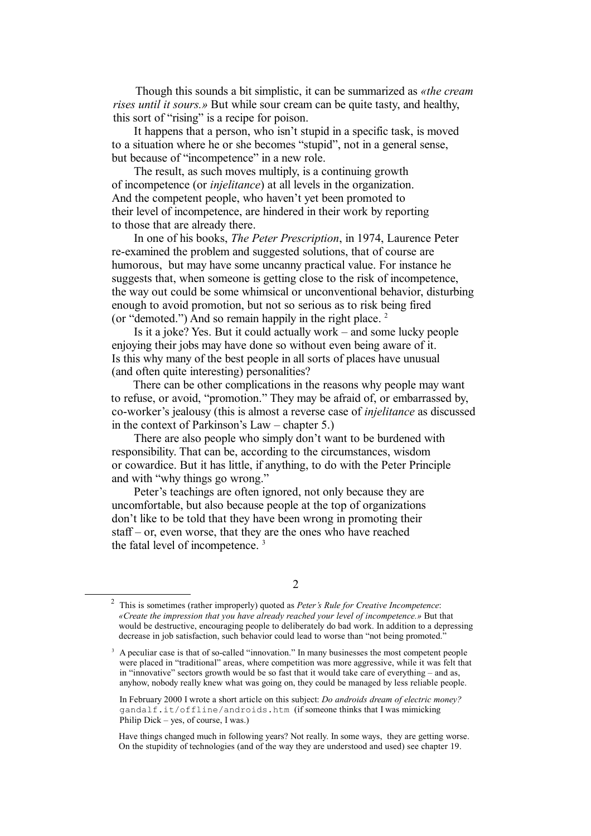Though this sounds a bit simplistic, it can be summarized as *«the cream rises until it sours.»* But while sour cream can be quite tasty, and healthy, this sort of "rising" is a recipe for poison.

It happens that a person, who isn't stupid in a specific task, is moved to a situation where he or she becomes "stupid", not in a general sense, but because of "incompetence" in a new role.

The result, as such moves multiply, is a continuing growth of incompetence (or *injelitance*) at all levels in the organization. And the competent people, who haven't yet been promoted to their level of incompetence, are hindered in their work by reporting to those that are already there.

In one of his books, *The Peter Prescription*, in 1974, Laurence Peter re-examined the problem and suggested solutions, that of course are humorous, but may have some uncanny practical value. For instance he suggests that, when someone is getting close to the risk of incompetence, the way out could be some whimsical or unconventional behavior, disturbing enough to avoid promotion, but not so serious as to risk being fired (or "demoted.") And so remain happily in the right place. [2](#page-1-0)

Is it a joke? Yes. But it could actually work – and some lucky people enjoying their jobs may have done so without even being aware of it. Is this why many of the best people in all sorts of places have unusual (and often quite interesting) personalities?

There can be other complications in the reasons why people may want to refuse, or avoid, "promotion." They may be afraid of, or embarrassed by, co-worker's jealousy (this is almost a reverse case of *injelitance* as discussed in the context of Parkinson's Law – chapter 5.)

There are also people who simply don't want to be burdened with responsibility. That can be, according to the circumstances, wisdom or cowardice. But it has little, if anything, to do with the Peter Principle and with "why things go wrong."

Peter's teachings are often ignored, not only because they are uncomfortable, but also because people at the top of organizations don't like to be told that they have been wrong in promoting their staff – or, even worse, that they are the ones who have reached the fatal level of incompetence. [3](#page-1-1)

<span id="page-1-0"></span><sup>2</sup> This is sometimes (rather improperly) quoted as *Peter's Rule for Creative Incompetence*: *«Create the impression that you have already reached your level of incompetence.»* But that would be destructive, encouraging people to deliberately do bad work. In addition to a depressing decrease in job satisfaction, such behavior could lead to worse than "not being promoted."

<span id="page-1-1"></span><sup>3</sup> A peculiar case is that of so-called "innovation." In many businesses the most competent people were placed in "traditional" areas, where competition was more aggressive, while it was felt that in "innovative" sectors growth would be so fast that it would take care of everything – and as, anyhow, nobody really knew what was going on, they could be managed by less reliable people.

In February 2000 I wrote a short article on this subject: *Do androids dream of electric money?* gandalf.it/offline/androids.htm (if someone thinks that I was mimicking Philip Dick – yes, of course, I was.)

Have things changed much in following years? Not really. In some ways, they are getting worse. On the stupidity of technologies (and of the way they are understood and used) see chapter 19.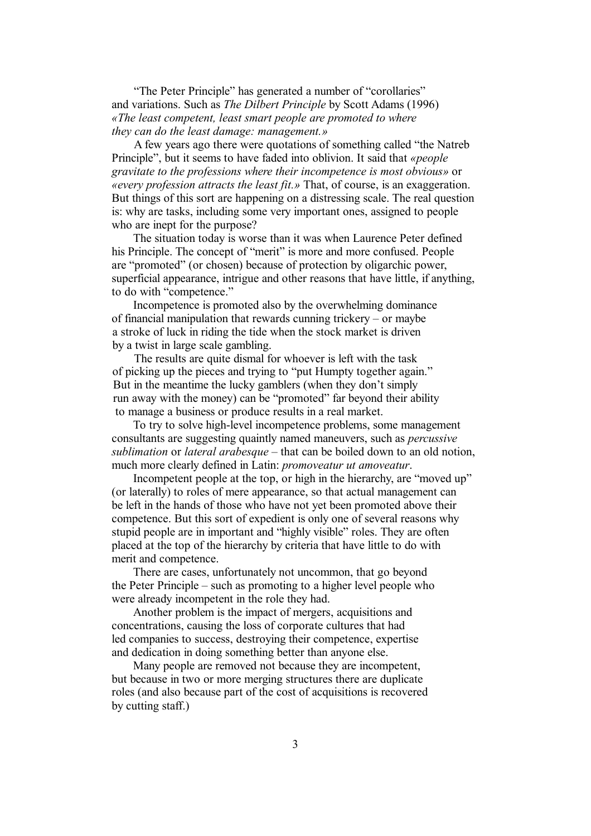"The Peter Principle" has generated a number of "corollaries" and variations. Such as *The Dilbert Principle* by Scott Adams (1996) *«The least competent, least smart people are promoted to where they can do the least damage: management.»*

A few years ago there were quotations of something called "the Natreb Principle", but it seems to have faded into oblivion. It said that *«people gravitate to the professions where their incompetence is most obvious»* or *«every profession attracts the least fit.»* That, of course, is an exaggeration. But things of this sort are happening on a distressing scale. The real question is: why are tasks, including some very important ones, assigned to people who are inept for the purpose?

The situation today is worse than it was when Laurence Peter defined his Principle. The concept of "merit" is more and more confused. People are "promoted" (or chosen) because of protection by oligarchic power, superficial appearance, intrigue and other reasons that have little, if anything, to do with "competence."

Incompetence is promoted also by the overwhelming dominance of financial manipulation that rewards cunning trickery – or maybe a stroke of luck in riding the tide when the stock market is driven by a twist in large scale gambling.

The results are quite dismal for whoever is left with the task of picking up the pieces and trying to "put Humpty together again." But in the meantime the lucky gamblers (when they don't simply run away with the money) can be "promoted" far beyond their ability to manage a business or produce results in a real market.

To try to solve high-level incompetence problems, some management consultants are suggesting quaintly named maneuvers, such as *percussive sublimation* or *lateral arabesque* – that can be boiled down to an old notion, much more clearly defined in Latin: *promoveatur ut amoveatur*.

Incompetent people at the top, or high in the hierarchy, are "moved up" (or laterally) to roles of mere appearance, so that actual management can be left in the hands of those who have not yet been promoted above their competence. But this sort of expedient is only one of several reasons why stupid people are in important and "highly visible" roles. They are often placed at the top of the hierarchy by criteria that have little to do with merit and competence.

There are cases, unfortunately not uncommon, that go beyond the Peter Principle – such as promoting to a higher level people who were already incompetent in the role they had.

Another problem is the impact of mergers, acquisitions and concentrations, causing the loss of corporate cultures that had led companies to success, destroying their competence, expertise and dedication in doing something better than anyone else.

Many people are removed not because they are incompetent, but because in two or more merging structures there are duplicate roles (and also because part of the cost of acquisitions is recovered by cutting staff.)